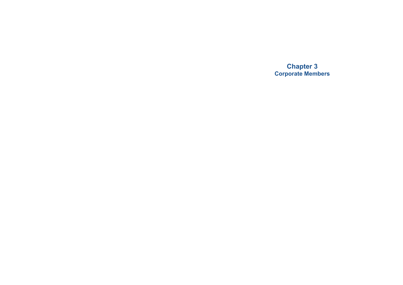**Chapter 3 Corporate Members**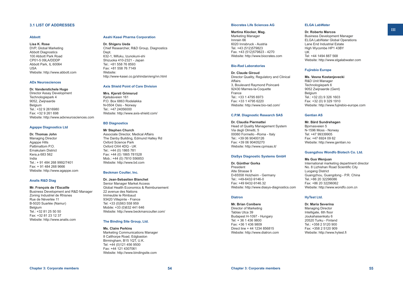## **3.1 LIST OF ADDRESSES**

#### **Abbott**

**Lisa K. Rose** DVP, Global Marketing Abbott Diagnostics 100 Abbott Park Road CP01-5 09LA/DDDP Abbott Park, IL 60064

USA Website: [http://www.abbott.com](http://www.abbott.com/)

## **ADx Neurosciences**

#### **Dr. Vanderstichele Hugo**

Director Assay Development Technologiepark 4 9052, Zwijnaarde Belgium Tel.: +32 9 2616980 Fax: +32 9 261 698 Website: [http://www.adxneurosciences.com](http://www.adxneurosciences.com/)

### **Agappe Diagnostics Ltd**

**Dr. Thomas John** Managing Director Agappe Hills Pattimattom P.O. Ernakulam District Kera,a 683 562 India Tel.: + 91 484 268 9992/7401 Fax: + 91 484 268 9666 Website: [http://www.agappe.com](http://www.agappe.com/)

#### **Analis R&D Diag**

**Mr. François de l'Escaille** Business Development and R&D Manager Zoning Industriel de Rhisnes Rue de Néverlée 11 B-5020 Suarlée (Namur) Belgium Tel.: +32 81 25 50 50 Fax: +32 81 23 12 37 Website: [http://www.analis.com](http://www.analis.com/)

### **Asahi Kasei Pharma Corporation**

**Dr. Shigeru Ueda** Chief Researcher, R&D Group, Diagnostics Dept. 632-1, Mifuku, Izunokuni-shi Shizuoka 410-2321 - Japan Tel.: +81 558 76 8593 Fax: +81 558 76 7149 Website: http://[www-kasei.co.jp/shindan/eng/nn.html](http://www.asahi-kasei.co.jp/asahi/en/index.html)

#### **Axis Shield Point of Care Division**

**Mrs. Kjersti Grimsrud** Kjelsåsveien 161 P.O. Box 6863 Rodeløkka N-0504 Oslo - Norway Tel.: +47 24056000 Website:<http://www.axis-shield.com/>

#### **BD Diagnostics**

**Mr Stephen Church** Associate Director, Medical Affairs The Danby Building, Edmund Halley Rd Oxford Science Park Oxford OX4 4DQ - UK Tel.: +44 (0) 1865 781 Fax: +44 (0) 1865 781528 Mob.: +44 (0) 7810 556853 Website: [http://www.bd.com](http://www.bd.com/)

#### **Beckman Coulter, Inc.**

# **Dr. Jean-Sebastien Blanchet**

Senior Manager Market Access Global Health Economics & Reimbursement 22 avenue des Nations Immeuble le Rimbaud 93420 Villepinte - France Tel: +33 (0)563 558 959 Mobile: +33 (0)632 441 646 Website: http://www.beckmancoulter.com/

#### **The Binding Site Group, Ltd.**

#### **Ms. Claire Perkins**

Marketing Communications Manager 8 Calthorpe Road, Edgbaston Birmingham, B15 1QT, U.K. Tel: +44 (0)121 456 9500 Fax: +44 121 4307061 Website: [http://www.bindingsite.com](http://www.bindingsite.com/)

#### **Biocrates Life Sciences AG**

# **Martina Klocker, Mag.**

Marketing Manager Innrain 66 6020 Innsbruck - Austria Tel. +43 (512)579823 Fax. +43 (512)579823 - 4270 Website: [http://www.biocrates.com](http://www.biocrates.com/)

#### **Bio-Rad Laboratories**

**Dr. Claude Giroud** Director Quality, Regulatory and Clinical Affairs 3, Boulevard Raymond Poincaré 92430 Marnes-la-Coquette France Tel.: +33 1 4795 6973 Fax: +33 1 4795 6220 Website: <http://www.bio-rad.com/>

## **C.P.M. Diagnostic Research SAS**

**Dr. Claudia Piermattei** Head of Quality Management System Via degli Olmetti, 5 00060 Formello –Roma - Italy Tel.: +39 06 90400126 Fax: +39 06 90405270 Website: <http://www.cpmsas.it/>

## **DiaSys Diagnostic Systems GmbH**

**Dr. Günther Gorka** President Alte Strasse 9 D-65558 Holzheim - Germany Tel.: +49-6432-9146-0 Fax: +49 6432-9146.32 Website: [http://www.diasys-diagnostics.com](http://www.diasys-diagnostics.com/)

#### **Diatron**

**Mr. Brian Conibere** Director of Marketing Tablas Utca 39 Budapest H-1097 - Hungary Tel: + 36 1 436 9800 Fax: +36 1 436 9809 Direct line + 44 1234 856815 Website: [http://www.diatron.com](http://www.diatron.com/)

## **ELGA LabWater**

**Dr. Roberto Marcos**

Business Development Manager ELGA LabWater Global Operations Lane End Industrial Estate High Wycombe HP1 43BY UK Tel: +44 1494 887 568 Website: [http://www.elgalabwater.com](http://www.elgalabwater.com/) **III**

#### **Fujirebio Europe**

**Ms. Vesna Kostanjevecki** R&D Unit Manager Technologiepark 6 9052 Zwijnaarde (Gent) **Belgium** Tel.  $+32(0)93261603$ Fax: +32 (0) 9 329 1910 Website: [http://www.fujirebio-europe.com](http://www.fujirebio-europe.com/)

## **Gentian AS**

**Mr. Bård Sundrehagen** Bjornasveien 5 N-1596 Moss - Norway Tel: +47 99339905 Fax: +47 6924 09 62 Website: [http://www.gentian.no](http://www.gentian.no/)

#### **Guangzhou Wondfo Biotech Co. Ltd.**

#### **Ms Guo Wenjuan**

International marketing department director No. 8 Lizhishan Road Scientific City Luogang District Guangzhou, Guangdong - P.R. China Tel.:+86 20 32296086 Fax: +86 20 32296062 Website: [http://www.wondfo.com.cn](http://www.wondfo.com.cn/)

#### **HyTest Ltd.**

#### **Dr. Maria Severina**

Managing Director Intelligate, 6th floor Joukahaisenkatu 6 20520 Turku - Finland Tel: +358 2 5120 900 Fax: +358 2 5120 909 Website: [http://www.hytest.fi](http://www.hytest.fi/)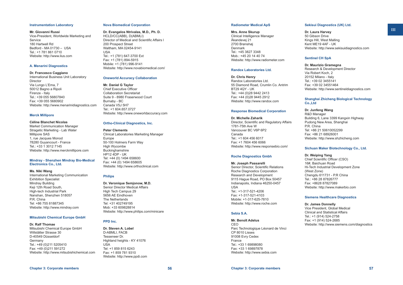#### **Instrumentation Laboratory**

### **Mr. Giovanni Russi**

Vice-President, Worldwide Marketing and **Service** 180 Hartwell Rd Bedford - MA 01730 – USA Tel.: +1 781 861 0710 Website: [http://www.ilus.com](http://www.ilus.com/)

#### **A. Menarini Diagnostics**

#### **Dr. Francesco Caggiano**

International Business Unit Laboratory Director Via Lungo L'Ema, 7 50012 Bagno a Ripoli Firenze - Italy Tel.: +39 055 56807840 Fax: +39 055 5680902 Website: [http://www.menarinidiagnostics.com](http://www.menarinidiagnostics.com/)

## **Merck Millipore**

#### **Céline Blanchet Nicolas**

Market Communication Manager Stragetic Marketing - Lab Water Millipore SAS 1, rue Jacques Monod 78280 Guyancourt - France Tel.: +33 1 3012 7145 Website: http://www.merckmillipore.com

#### **Mindray - Shenzhen Mindray Bio-Medical Electronics Co., Ltd.**

#### **Ms. Niki Wang**

International Marketing Communication Exhibition Specialist Mindray Building Keji 12th Road South, High-tech Industrial Park Nanshan, Shenzhen 518057 P.R. China Tel: +86 755 81887345 Website: [http://www.mindray.com](http://www.mindray.com/)

#### **Mitsubishi Chemical Europe GmbH**

#### **Dr. Ralf Thomae**

Mitsubishi Chemical Europe GmbH Willstätter Strasse 30 D-40549 Düsseldorf Germany Tel.: +49 (0)211 5205410 Fax: +49 (0)211 591272 Website: [http://www.mitsubishichemical.com](http://www.mitsubishichemical.com/)

#### **Nova Biomedical Corporation**

**Dr. Evangelos Ntrivalas, M.D., Ph. D.** HCLD/CC(ABB), D(ABMLI) Director of Medical and Scientific Affairs l 200 Prospect Street Waltham, MA 02454-9141 USA Tel.: +1 (781) 647-3700 Ext Fax: +1 (781) 894-5915 Mobile: +1 (781) 996-9141 Website: http:/[/www.novabiomedical.com/](http://www.novabiomedical.com/)

#### **Oneworld Accuracy Collaboration**

## **Mr. Daniel G Taylor**

Chief Executive Officer Collaboration Secretariat Suite 9 - 8980 Fraserwood Court Burnaby - BC Canada V5J 5H7 Tel.: +1 604.657.0727 Website: http:/[/www.oneworldaccuracy.com](http://www.oneworldaccuracy.com/)

#### **Ortho-Clinical Diagnostics, Inc.**

# **Peter Clements**

Clinical Laboratories Marketing Manager Europe 50-100 Holmers Farm Way High Wycombe **Buckinghamshire** HP12 4DP - UK Tel: +44 (0) 1494 658600 Fax: +44 (0) 1494 658605 Website: [http://www.orthoclinical.com](http://www.orthoclinical.com/)

#### **Philips**

**Dr. Veronique Semjonow, M.D.** Senior Director Medical Affairs High Tech Campus 29 5656 AE Eindhoven The Netherlands Tel: +31 402749195 Mob: +33 609828814 Website:<http://www.philips.com/minicare>

#### **PPD Inc.**

**Dr. Steven A. Lobel** D-ABMLI, FACB Tesseneer Dr. Highland heights - KY 41076 USA Tel: +1 859 815 6243 Fax: +1 859 781 9310 Website: [http://www.ppdi.com](http://www.ppdi.com/)

#### **Radiometer Medical ApS**

**Mrs. Anne Skurup** Clinical Intelligence Manager Åkandevej 21 2700 Brønshøj Denmark Tel.: +45 3827 3348 Mob.: +45 20 14 40 74 Website: [http://www.radiometer.com](http://www.radiometer.com/)

## **Randox Laboratories Ltd.**

**Dr. Chris Henry** Randox Laboratories Ltd. 55 Diamond Road, Crumlin Co. Antrim BT29 4QY - UK Tel.: +44 (0)28 9442 2413 Fax: +44 (0)28 9445 2912 Website: [http://www.randox.com](http://www.randox.com/)

#### **Response Biomedical Corporation**

**Dr. Michelle Zaharik** Director, Scientific and Regulatory Affairs 1781-75th Ave W Vancouver BC V6P 6P2 Canada Tel.: +1 604 456 6017 Fax: +1 7604 456 6066 Website:<http://www.responsebio.com/>

#### **Roche Diagnostics Gmbh**

**Mr. Joseph Passarelli** Senior Director, Scientific Relations Roche Diagnostics Corporation Research and Development 9115 Hague Road, PO Box 50457 Indianapolis, Indiana 46250-0457 USA Tel.: +1-317-521-4206 Fax: +1-317-521-4103 Mobile: +1-317-625-7810 Website: [http://www.roche.com](http://www.roche.com/)

# **Sebia S.A.**

#### **Mr. Benoît Adelus**

CEO Parc Technologique Léonard de Vinci CP 8010 Lisses 91008 Evry Cedex France Tel.: +33 1 69898080 Fax: +33 1 69897878 Website: [http://www.sebia.com](http://www.sebia.com/)

#### **Sekisui Diagnostics (UK) Ltd.**

**Dr. Laura Harvey** 50 Gibson Drive Kings Hill, West Malling Kent ME19 4AF - UK Website: [http://www.sekisuidiagnostics.com](http://www.sekisuidiagnostics.com/)

#### **Sentinel CH SpA**

**Dr. Maurizio Gramegna** Research & Development Director Via Robert Koch, 2 20152 Milano - Italy Tel:  $+39.02.3455141$ Fax: +39 02 34551464 Website: [http://www.sentineldiagnostics.com](http://www.sentineldiagnostics.com/)

# **Shanghai Zhicheng Biological Technology Co.,Ltd**

**Dr. Junfeng Wang** R&D Manager Building 6, Lane 3399 Kangxin Highway Pudong New Area, Shanghai P.R. China Tel: +86 21 50610052299 Fax: +86 21 68926001 Website: [http://www.shzhicheng.com](http://%3ewww.shzhicheng.com/)

#### **Sichuan Maker Biotechnology Co., Ltd.**

# **Dr. Weiping Yang**

Chief Scientific Officer (CSO) 16#, Baichuan Road Hi-Tech Industrial Development Zone (West Zone) Chengdu 611731 - P.R China Tel.: +86 28 87826777 Fax: +8628 87827089 Website: [http://www.makerbio.com](http://www.makerbio.com/)

### **Siemens Healthcare Diagnostics**

#### **Dr. James Donnelly**

Vice President, Global Medical Clinical and Statistical Affairs Tel.: +1 (914) 524-2758 Fax: +1 (914) 524-2685 Website: [http://www.siemens.com/diagnostics](http://www.siemens.com/diagnostics/)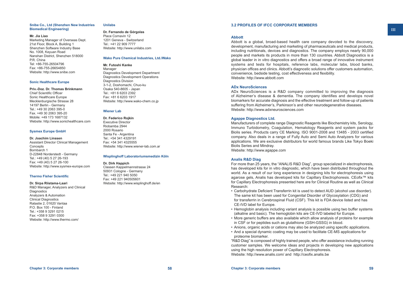#### **Snibe Co., Ltd (Shenzhen New Industries Biomedical Engineering)**

#### **Mr. Jia Liao**

Marketing Manager of Overseas Dept. 21st Floor, Block A, Building 1 Shenzhen Software Industry Base No. 1008, Keyuan Road Nanshan District, Shenzhen 518000 P.R. China Tel: +86-755-26504796 Fax: +86-755-26654850 Website: [http://www.snibe.com](http://%3ewww.snibe.com/)

### **Sonic Healthcare Europe**

**Priv.-Doz. Dr. Thomas Brinkmann**

Chief Scientific Officer Sonic Healthcare Europe Mecklenburgische Strasse 28 14197 Berlin - Germany Tel.: +49 30 2063 395-0 Fax. +49 30 2063 395-20 Mobile: +49 173 1687132 Website: [http://www.sonichealthcare.com](http://www.sonichealthcare.com/)

#### **Sysmex Europe GmbH**

**Dr. Joachim Linssen** Assistant Director Clinical Management **Concepts** Bornbarch 1 D-22848 Norderstedt - Germany Tel.: +49 (40) 5 27 26-193 Fax: +49 (40) 5 27 26-100 Website: [http://www.sysmex-europe.com](http://www.sysmex-europe.com/)

## **Thermo Fisher Scientific**

**Dr. Sirpa Riistama-Laari**

R&D Manager, Analyzers and Clinical **Diagnostics** Analyzers & Automation Clinical Diagnostics Ratastie 2, 01620 Vantaa P.O. Box 100 - Finland Tel.: +358 9 3291 0215 Fax: +358 9 3291 0300 Website:<http://www.thermo.com/>

# **Unilabs**

**Dr. Fernando de Górgolas** Place Cornavin 12 1201 Geneva - Switzerland Tel.: +41 22 909 7777 Website: [http://www.unilabs.com](http://www.unilabs.com/)

## **Wako Pure Chemical Industries, Ltd./Wako**

**Mr. Futoshi Kanke** Manager Diagnostics Development Department Diagnostics Development Operations Diagnostics Division 3-1-2, Doshomachi, Chuo-ku Osaka 540-8605 - Japan Tel.: +81 6 6203 2392 Fax: +81 6 6203 1917 Website: [http://www.wako-chem.co.jp](http://www.wako-chem.co.jp/)

#### **Wiener Lab**

**Dr. Federico Rojkin** Executive Director Riobamba 2944 2000 Rosario Santa Fe - Argentina Tel.: +54 341 4329191 Fax: +54 341 4325555 Website: [http://www.wiener-lab.com.ar](http://www.wiener-lab.com.ar/)

# **Wisplinghoff Laboratoriumsmedizin Köln**

**Dr. Dirk Happich**

Classen Kappelmannstrasse 24 50931 Cologne - Germany Tel.: +49 221 940 5050 Fax: +49 221 940505601 Website: [http://www.wisplinghoff.de/en](http://www.wisplinghoff.de/en/)

# **3.2 PROFILES OF IFCC CORPORATE MEMBERS**

## **Abbott**

Abbott is a global, broad-based health care company devoted to the discovery, development, manufacturing and marketing of pharmaceuticals and medical products, including nutritionals, devices and diagnostics. The company employs nearly 90,000 people and markets its products in more than 130 countries. Abbott Diagnostics is a global leader in in vitro diagnostics and offers a broad range of innovative instrument systems and tests for hospitals, reference labs, molecular labs, blood banks, physician offices and clinics. Abbott's diagnostic solutions offer customers automation, convenience, bedside testing, cost effectiveness and flexibility. Website: [http://www.abbott.com](http://www.abbott.com/)

**ADx NeuroSciences**

ADx NeuroSciences is a R&D company committed to improving the diagnosis of Alzheimer's disease & dementia. The company identifies and develops novel biomarkers for accurate diagnosis and the effective treatment and follow-up of patients suffering from Alzheimer's, Parkinson's and other neurodegenerative diseases. Website: [http://www.adxneurosciences.com](http://www.adxneurosciences.com/)

## **Agappe Diagnostics Ltd.**

Manufacturers of complete range Diagnostic Reagents like Biochemistry kits, Serology, Immuno Turbidometry, Coagulation, Hematology Reagents and system packs for Biolis series. Products carry CE Marking. ISO 9001-2008 and 13485 - 2003 certified company. Also deals in a range of Fully Auto and Semi Auto Analyzers for various applications. We are exclusive distributors for world famous brands Like Tokyo Boeki Biolis Series and Mindray.

Website: [http://www.agappe.com](http://www.agappe.com/)

## **Analis R&D Diag**

For more than 25 years, the "ANALIS R&D Diag", group specialized in electrophoresis, has developed kits for in vitro diagnostic, which have been distributed throughout the world. As a result of our long experience in designing kits for electrophoresis using agarose gels, Analis has developed kits for Capillary Electrophoresis. CEofix™ kits for Capillary Electrophoresis presented here are for Clinical Routine as well as Clinical Research:

- Carbohydrate Deficient Transferrin kit is used to detect AUD (alcohol use disorder). The same kit has been used for Congenital Disorder of Glycosylation (CDG) and for transferrin in Cerebrospinal Fluid (CSF). This kit is FDA device listed and has CE-IVD label for Europe.
- Hemoglobin analysis including variant analysis is possible using two buffer systems (alkaline and basic). The hemoglobin kits are CE-IVD labeled for Europe.
- More generic buffers are also available which allow analysis of proteins for example in CSF or for peptides such as glutathione (GSH-GSSG) in blood.
- Anions, organic acids or cations may also be analyzed using specific applications.
- And a special dynamic coating may be used to facilitate CE-MS applications for proteome biomarker.

"R&D Diag" is composed of highly trained people, who offer assistance including running customer samples. We welcome ideas and projects in developing new applications using the high resolution power of Capillary Electrophoresis. Website:<http://www.analis.com/>and [http://ceofix.analis.be](http://ceofix.analis.be/)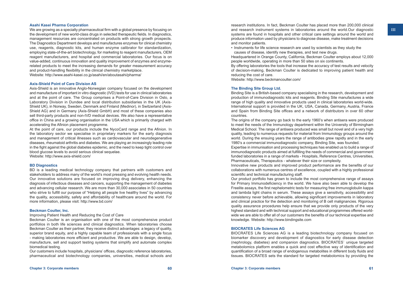# **Asahi Kasei Pharma Corporation**

We are growing as a specialty pharmaceutical firm with a global presence by focusing on the development of new world-class drugs in selected therapeutic fields. In diagnostics, management resources are concentrated on products with strong growth prospects. The Diagnostics Department develops and manufactures enzymes for clinical chemistry use, reagents, diagnostic kits, and human enzyme calibrator for standardization, employing state-of-the-art biotechnology, for marketing to reagent manufacturers, OEM reagent manufacturers, and hospital and commercial laboratories. Our focus is on value-added, continuous innovation and quality improvement of enzymes and enzymerelated products to meet the increasing demands for greater measurement accuracy and product-handling flexibility in the clinical chemistry marketplace. Website:<http://www.asahi-kasei.co.jp/asahi/en/aboutasahi/pharma/>

# **Axis-Shield Point of Care Division AS**

Axis-Shield is an innovative Anglo-Norwegian company focused on the development and manufacture of important in vitro diagnostic (IVD) tests for use in clinical laboratories and at the point of care. The Group comprises a Point-of-Care Division in Oslo, a Laboratory Division in Dundee and local distribution subsidiaries in the UK (Axis-Shield UK), in Norway, Sweden, Denmark and Finland (Medinor), in Switzerland (Axis-Shield AG) and in Germany (Axis-Shield GmbH) and most of these companies also sell third-party products and non-IVD medical devices. We also have a representative office in China and a growing organisation in the USA which is primarily charged with accelerating the Afinion placement programme.

At the point of care, our products include the NycoCard range and the Afinion. In the laboratory sector we specialise in proprietary markers for the early diagnosis and management of critical illnesses such as cardiovascular and neurodegenerative diseases, rheumatoid arthritis and diabetes. We are playing an increasingly leading role in the fight against the global diabetes epidemic, and the need to keep tight control over blood glucose levels to avoid serious clinical sequelae.

Website:<http://www.axis-shield.com/>

### **BD Diagnostics**

BD is a leading medical technology company that partners with customers and stakeholders to address many of the world's most pressing and evolving health needs. Our innovative solutions are focused on improving drug delivery, enhancing the diagnosis of infectious diseases and cancers, supporting the management of diabetes and advancing cellular research. We are more than 30,000 associates in 50 countries who strive to fulfill our purpose of "Helping all people live healthy lives" by advancing the quality, accessibility, safety and affordability of healthcare around the world. For more information, please visit: <http://www.bd.com/>

# **Beckman Coulter, Inc.**

# Improving Patient Health and Reducing the Cost of Care

Beckman Coulter is an organisation with one of the most comprehensive product portfolios in both life sciences and clinical diagnostics. When laboratories choose Beckman Coulter as their partner, they receive distinct advantages: a legacy of quality, superior brand equity, and a highly capable team of professionals with a single focus - making laboratories more efficient and productive. We are able to design, develop, manufacture, sell and support testing systems that simplify and automate complex biomedical testing.

Our customers include hospitals, physicians' offices, diagnostic reference laboratories, pharmaceutical and biotechnology companies, universities, medical schools and research institutions. In fact, Beckman Coulter has placed more than 200,000 clinical and research instrument systems in laboratories around the world.Our diagnostic systems are found in hospitals and other critical care settings around the world and produce information used by physicians to diagnose disease, make treatment decisions and monitor patients.

• Instruments for life science research are used by scientists as they study the causes of disease, identify new therapies, and test new drugs.

Headquartered in Orange County, California, Beckman Coulter employs about 12,000 people worldwide, operating in more than 50 sites on six continents.

By offering laboratories the tools that increase the accuracy of test results and velocity of decision-making, Beckman Coulter is dedicated to improving patient health and reducing the cost of care.

Website:<http://www.beckmancoulter.com/>

# **The Binding Site Group Ltd.**

Binding Site is a British-based company specialising in the research, development and production of immunodiagnostic kits and reagents. Binding Site manufactures a wide range of high quality and innovative products used in clinical laboratories world-wide. International support is provided in the UK, USA, Canada, Germany, Austria, France and Spain from Binding Site offices and a network of distributors in over 60 other countries.

The origins of the company go back to the early 1960's when antisera were produced to meet the needs of the Immunology department within the University of Birmingham Medical School. The range of antisera produced was small but novel and of a very high quality, leading to numerous requests for material from Immunology groups around the world. During the ensuing years the range of antibodies grew rapidly and in the early 1980's a commercial immunodiagnostic company, Binding Site, was founded.

Expertise in immunisation and processing techniques has enabled us to build a range of immunodiagnostic products aimed at fulfilling the needs of commercial and government funded laboratories in a range of markets - Hospitals, Reference Centres, Universities, Pharmaceuticals, Therapeutics - whatever their size or complexity.

Innovative new products and improved product performance are the benefits of our collaborations with numerous centres of excellence, coupled with a highly professional scientific and technical manufacturing staff.

Our product portfolio has grown to include the most comprehensive range of assays for Primary Immunodeficiency in the world. We have also been able to develop the Freelite assays, the first nephelometric tests for measuring free immunoglobulin kappa and lambda light chains in serum. These assays give a sensitivity, accessibility and consistency never before achievable, allowing significant improvements in laboratory and clinical practice for the detection and monitoring of B cell malignancies. Rigorous quality assurance procedures help ensure that we provide only products of the very highest standard and with technical support and educational programmes offered worldwide we are able to offer all of our customers the benefits of our technical expertise and knowledge. Website: [http://www.bindingsite.com](http://www.bindingsite.com/)

## **BIOCRATES Life Sciences AG**

BIOCRATES Life Sciences AG is a leading biotechnology company focused on biomarker discovery and development of diagnostics for early disease detection (nephrology, diabetes) and companion diagnostics. BIOCRATES` unique targeted metabolomics platform enables a quick and cost effective way of identification and quantification of a broad range of endogenous metabolites in different body fluids and tissues. BIOCRATES sets the standard for targeted metabolomics by providing the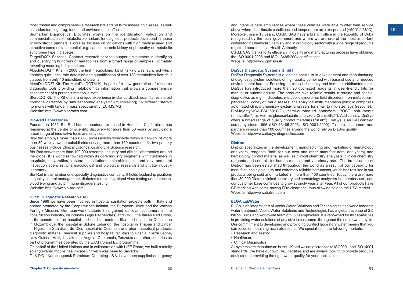most trusted and comprehensive research kits and IVDs for assessing disease, as well as understanding drug, food, and environmental effects.

Biomarker Diagnostics: Biocrates works on the identification, validation and commercialization of metabolic biomarkers for diagnostic products developed in house or with strong partners. Biocrates focuses on indications with high medical need and attractive commercial potential, e.g. cancer, chronic kidney nephropathy or metabolic syndrome/Type II diabetes.

TargetIDQ™ Services: Contract research services supports customers in identifying and quantifying hundreds of metabolites from a broad range of samples, ultimately revealing meaningful biomarkers.

AbsoluteIDQ™ Kits: In 2008 the first metabolomic kit of its kind was launched which enables quick, accurate detection and quantification of over 180 metabolites from four classes from only 10 microliters of plasma.

MetaDisIDQ™ Kit: The MetaDisIDQTM Kit is part of a new generation of research diagnostic tools providing metabolomics information that allows a comprehensive assessment of a person's metabolic state.

SteroIDQ Kit: The Kit offers a unique experience in standardized, quantitative steroid hormone detection by simultaneously analyzing (multiplexing) 16 different steroid hormones with tandem mass spectrometry (LC-MS/MS). Website: [http://www.biocrates.com](http://www.biocrates.com/)

## **Bio-Rad Laboratories**

Founded in 1952, Bio-Rad has its headquarter based in Hercules, California. It has remained at the centre of scientific discovery for more than 50 years by providing a broad range of innovative tools and services.

Bio-Rad employs more than 6,800 professionals worldwide within a network of more than 30 wholly owned subsidiaries serving more than 150 countries. Its two primary businesses include Clinical Diagnostics and Life Science research.

Bio-Rad serves more than 100,000 research, industry and clinical laboratories around the globe. It is world renowned within its core industry segments with customers in hospitals, universities, research institutions, microbiological and environmental inspection agencies, pharmacological and biological research and private industry laboratory.

Bio-Rad is the number one specialty diagnostics company. It holds leadership positions in quality control management, diabetes monitoring, blood virus testing and detection, blood typing and autoimmune disorders testing Website:<http://www.bio-rad.com/>

### **C.P.M. Diagnostic Research SAS**

Since 1986 we have been involved in hospital sanitation projects both in Italy and abroad promoted by the Cooperazione Italiana, the European Union and the Vatican Foreign Mission. Our teamwork attitude has gained us loyal customers in the construction industry, oil industry (Agip Recherches) and ONG, the Italian Red Cross, in the construction of hospital and medical centers, like the hospital in Quelimane in Mozambique, the hospital in Sidone Lebanon, the hospital in Thaoua and Zinder in Niger, the San Juan de Dios hospital in Colombia and pharmaceutical products, diagnostic material, medical supplies and hospital facilities to Bosnia, Sierra Leone, New Guinea, Haiti, the Ukraine, Angola, Guatemala, Tanzania and other countries as part of programmes operated by the E.C.H.O and EU programme.

On behalf of the United Nations and in collaboration with LIFE Rome, we built a totally solar powered mobile health-care unit wich was been to Salvador.

To K.P.O - Karachaganak Petroleum Operating - B.V. have been supplied emergency

and intensive care ambulances where these vehicles were able to offer their service above where the climatic conditions and temperature are exesperated (+50°C / -38°C). Moreover, since 15 years, C.P.M. SAS have a branch office in the Rupublic of Cuba recognized by the local government and where we are one of the most important distributor in Chemical Chemisty and Microbiology sector with a wide range of products registred near the local Health Authority.

C.P.M. SAS thanks to its efficiency in quality and manufacturing process have obtained the ISO 9001:2008 and ISO 13485:2004 certifications. Website:<http://www.cpmsas.it/>

# **DiaSys Diagnostic Systems GmbH**

DiaSys Diagnostic Systems is a leading specialist in development and manufacturing of diagnostic system solutions of high quality combined with ease of use and reduced environmental burden. Focusing on clinical chemistry and immunoturbidimetric tests, DiaSys has introduced more than 90 optimized reagents in user-friendly kits for manual or automated use. The products give reliable results in routine and special diagnostics as e.g. in diabetes, metabolic syndrome, lipid disorders, iron metabolism, pancreatic, kidney or liver diseases. The analytical instrumentation portfolio comprises automated clinical chemistry system analyzers for small to mid-size labs (respons®, BioMajesty®JCA-BM 6010/C), semi-automated analyzers, POCT instruments (InnovaStar®) as well as glucose/lactate analyzers (SensoStar®). Additionally, DiaSys offers a broad range of quality control material (TruLab®). DiaSys is an ISO certified company since 1996 (ISO 13485:2003, ISO 9001:2000). To date, customers and partners in more than 100 countries around the world rely on DiaSys quality. Website: [http://www.diasys-diagnostics.com](http://www.diasys-diagnostics.com/)

# **Diatron**

Diatron specializes in the development, manufacturing and marketing of hematology analyzers, reagents (both for our own and other manufacturers' analyzers) and hematology control material as well as clinical chemistry analyzers, clinical chemistry reagents and controls for human medical and veterinary use. The brand name of Diatron has been established throughout the world as a result of our capability for manufacturing high quality and extremely reliable instruments, which has resulted in our products being sold and marketed in more than 100 countries. Today, there are more than 30,000 Diatron clinical chemistry and hematology analyzers in laboratory use, and our customer base continues to grow strongly year after year. All of our products have CE marking with some having FDA clearance, thus allowing sale to the USA market. Website: [http://www.diatron.com](http://www.diatron.com/)

# **ELGA LabWater**

ELGA is an integral part of Veolia Water Solutions and Technologies, the world leader in water treatment. Veolia Water Solutions and Technologies has a global revenue of 2.5 billion Euros and worldwide team of 9,500 employees. It is renowned for its capabilities in providing water solutions of any size to customers throughout the entire water cycle. Our commitment to developing and providing purified laboratory water means that you can focus on obtaining accurate results. We specialise in the following markets:

- Research and Testing
- Healthcare
- Clinical Diagnostics

All systems are manufacture in the UK and we are accredited to ISO9001 and ISO14001 standards. We have our own R&D facilities and are always looking to provide products dedicated to providing the right water quality for your application.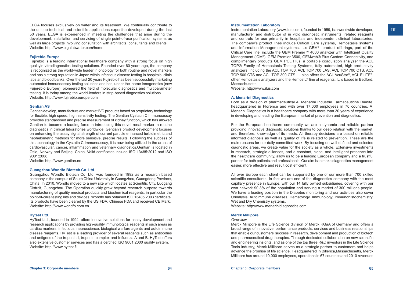**III**

ELGA focuses exclusively on water and its treatment. We continually contribute to the unique technical and scientific applications expertise developed during the last 50 years. ELGA is experienced in meeting the challenges that arise during the development, installation and servicing of single point-of-use purification systems as well as large projects involving consultation with architects, consultants and clients. Website:<http://www.elgalabwater.com/home>

# **Fujirebio Europe**

Fujirebio is a leading international healthcare company with a strong focus on high qualityin vitrodiagnostics testing solutions. Founded over 60 years ago, the company is recognized as the world-wide leader in oncology for both routine and novel markers and has a strong reputation in Japan within infectious disease testing in hospitals, clinic labs and blood banks. Over the last 20 years Fujirebio has been successfully marketing automated immunoassay testing solutions and has, under the name Innogenetics (now Fujerebio Europe), pioneered the field of molecular diagnostics and multiparameter testing. It is today among the world-leaders in strip-based diagnostics solutions. Website: [http://www.fujirebio.europe.com](http://www.fujirebio.europe.com/)

# **Gentian AS**

Gentian develop, manufacture and market IVD products based on proprietary technology for flexible, high speed, high sensitivity testing. The Gentian Cystatin C Immunoassay provides standardised and precise measurement of kidney function, which has allowed Gentian to become a leading force in introducing this novel renal marker in routine diagnostics in clinical laboratories worldwide. Gentian's product development focuses on enhancing the assay signal strength of current particle enhanced turbidimetric and nephelometric methods for more sensitive, precise results. Following the success of this technology in the Cystatin C Immunoassay, it is now being utilized in the areas of cardiovascular, cancer, inflammation and veterinary diagnostics.Gentian is located in Oslo, Norway and Beijing, China. Valid certificates include ISO 13485:2012 and ISO 9001:2008.

Website: [http://www.gentian.no](http://www.gentian.no/)

# **Guangzhou Wondfo Biotech Co. Ltd.**

Guangzhou Wondfo Biotech Co. Ltd. was founded in 1992 as a research based company in the campus of South China University in Guangzhou, Guangdong Province, China. In 2010, Wondfo moved to a new site which locates at Scientific City, Luogang Distrcit, Guangzhou. The Operation quickly grew beyond research purpose towards manufacturing of quality medical products and biochemical reagents, in particular the point-of-care testing kits and devices. Wondfo has obtained ISO 13485:2003 certificate. Its products have been cleared by the US FDA, Chinese FDA and received CE Mark. Website: [http://www.wondfo.com.cn](http://www.wondfo.com.cn/)

# **Hytest Ltd.**

HyTest Ltd., founded in 1994, offers innovative solutions for assay development and research applications by providing high-quality immunological reagents in such areas as cardiac markers, infectious, neuroscience, biological warfare agents and autoimmune disease reagents. HyTest is a leading provider of several reagents such as antibodies and antigens of the troponin I, troponin complex and Influenza A and B. HyTest offers also extensive customer services and has a certified ISO 9001:2000 quality system. Website: [http://www.hytest.fi](http://www.hytest.fi/)

# **Instrumentation Laboratory**

Instrumentation Laboratory [\(www.ilus.com\)](http://www.ilus.com/), founded in 1959, is a worldwide developer, manufacturer and distributor of in vitro diagnostic instruments, related reagents and controls for use primarily in hospitals and independent clinical laboratories. The company's product lines include Critical Care systems, Hemostasis systems and Information Management systems. IL's GEM® product offerings, part of the Critical Care line, include the GEM Premier™ 4000 analyzer with Intelligent Quality Management (iQM®), GEM Premier 3500, GEMweb® Plus Custom Connectivity, and complimentary products GEM PCL Plus, a portable coagulation analyzer the ACL TOP® Family of Hemostasis Testing Systems, fully automated, high-productivity analyzers, including the ACL TOP 700, ACL TOP 700 LAS, ACL TOP 700 CTS, ACL TOP 500 CTS and ACL TOP 300 CTS. IL also offers the ACL AcuStar®, ACL ELITE®, other Hemostasis analyzers and the HemosIL® line of reagents. IL is based in Bedford, Massachusetts.

Website: [http://www.ilus.com](http://www.ilus.com/)

# **A. Menarini Diagnostics**

Born as a division of pharmaceutical A. Menarini Industrie Farmaceutiche Riunite, headquartered in Florence and with over 17.000 employees in 70 countries, A. Menarini Diagnostics is a healthcare company with more than 30 years of experience in developing and leading the European market of prevention and diagnostics.

For the European healthcare community we are a dynamic and reliable partner providing innovative diagnostic solutions thanks to our deep relation with the market, and therefore, knowledge of its needs. All therapy decisions are based on reliable informed diagnosis as well as quality of life is related to prevention. These are the main reasons for our daily committed work. By focusing on well-defined and selected diagnostic areas, we create value for the society as a whole. Extensive investments in research, strategic alliances, and a constant, close, and intelligent presence into the healthcare community, allow us to be a leading European company and a trustful partner for both patients and professionals. Our aim is to make diagnostics management easier, more effective and result cost efficient.

All over Europe each client can be supported by one of our more than 700 skilled scientific consultants. In fact we are one of the diagnostics company with the most capillary presence in Europe, with our 14 fully owned subsidiaries, covering with our own network 90.3% of the population and serving a market of 300 millions people. We have a leading position in the Diabetes monitoring and our activities also cover Urinalysis, Autoimmune diseases, Hematology, Immunology, Immunohistochemistry, Wet and Dry Chemistry systems.

Website: [http://www.menarinidiagnostics.com](http://www.menarinidiagnostics.com/)

# **Merck Millipore**

## *Overview*

Merck Millipore is the Life Science division of Merck KGaA of Germany and offers a broad range of innovative, performance products, services and business relationships that enable our customers' success in research, development and production of biotech and pharmaceutical drug therapies. Through dedicated collaboration on new scientific and engineering insights, and as one of the top three R&D investors in the Life Science Tools industry, Merck Millipore serves as a strategic partner to customers and helps advance the promise of life science. Headquartered in Billerica,Massachusetts, Merck Millipore has around 10,000 employees, operations in 67 countries and 2010 revenues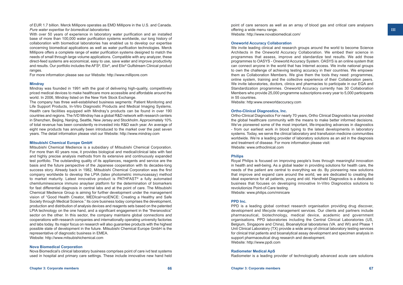of EUR 1.7 billion. Merck Millipore operates as EMD Millipore in the U.S. and Canada. *Pure water expertise for biomedical laboratories*

With over 50 years of experience in laboratory water purification and an installed base of more than 100,000 water purification systems worldwide, our long history of collaboration with biomedical laboratories has enabled us to develop our expertise concerning biomedical applications as well as water purification technologies. Merck Millipore offers a complete range of water purification systems designed to match the needs of small through large volume applications. Compatible with any analyzer, these direct-feed systems are economical, easy to use, save water and improve productivity and results. Our portfolio includes the AFS®, Elix®, and Elix® Gulfstream Clinical product ranges.

For more information please see our Website: [http://www.millipore.com](http://www.millipore.com/lab_water/clw/capability&open&cid=S0210?cid=3INTEN2811)

## **Mindray**

Mindray was founded in 1991 with the goal of delivering high-quality, competitively priced medical devices to make healthcare more accessible and affordable around the world. In 2006, Mindray listed on the New York Stock Exchange.

The company has three well-established business segments: Patient Monitoring and Life Support Products, In-Vitro Diagnostic Products and Medical Imaging Systems. Health care facilities equipped with Mindray's products can be found in over 190 countries and regions. The IVD Mindray has a global R&D network with research centers in Shenzhen, Beijing, Nanjing, Seattle, New Jersey and Stockholm. Approximately 10% of total revenue has been consistently re-invested into R&D each year. An average of eight new products has annually been introduced to the market over the past seven years. The detail information please visit our Website: [http://www.mindray.com](http://www.mindray.com/)

# **Mitsubishi Chemical Europe GmbH**

Mitsubishi Chemical Medience is a subsidiary of Mitsubishi Chemical Corporation. For more than 40 years now, it provides biological and medical/clinical labs with fast and highly precise analysis methods from its extensive and continuously expanded test portfolio. The outstanding quality of its appliances, reagents and service are the basis and the future perspective of the Japanese cooperation with its decades-long success story. Already back in 1982, Mitsubishi Chemical Corporation was the first company worldwide to develop the LPIA (latex photometric immunoassay) method to market maturity. Latest innovative product is PATHFAST® a fully automated chemiluminescence immuno anaylser platform for the determination of biomarkers for fast differential diagnosis in central labs and at the point of care. The Mitsubishi Chemical Medience Group is aiming for further development under the management vision of "Good Health Creator, MEDIcal+sciENCE: Creating a Healthy and Safe Society through Medical Science." Its core business today comprises the development, production and distribution of analysis devices and reagents sets based on the patented LPIA technology on the one hand, and a significant engagement in the "theranostics" sector on the other. In this sector, the company maintains global connections and cooperations with research companies and internationally operating university factories and labs today. Its major focus on research will also guarantee products with the highest possible state of development in the future. Mitsubishi Chemical Europe GmbH is the representative of diagnostic business in EMEA.

Website: [http://www.mitsubishichemical.com](http://www.mitsubishichemical.com/)

# **Nova Biomedical Corporation**

Nova Biomedical's clinical laboratory business comprises point of care ivd test systems used in hospital and primary care settings. These include innovative new hand held

point of care sensors as well as an array of blood gas and critical care analysers offering a wide menu range. Website:<http://www.novabiomedical.com/>

# **Oneworld Accuracy Collaboration**

We invite leading clinical and research groups around the world to become Science Architects in the Oneworld Accuracy Collaboration. We embed their science in programmes that assess, improve and standardize test results. We add those programmes to OASYS - Oneworld Accuracy System. OASYS is an online system that can connect anyone in the world that has Internet access. We invite national groups to own the challenge of achieving testing accuracy in their countries. We empower them as Collaboration Members. We give them the tools they need: programmes, online system, training and the collective experience of their Collaboration peers. We invite laboratories, doctors, clinics and pharmacies to participate in our EQA and Standardization programmes. Oneworld Accuracy currently has 30 Collaboration Members who provide 25,000 programme subscriptions every year to 5,000 participants in 55 countries.

Website: http:www[.oneworldaccuracy.com](http://www.oneworldaccuracy.com/)

# **Ortho-Clinical Diagnostics, Inc.**

Ortho-Clinical Diagnostics For nearly 70 years, Ortho Clinical Diagnostics has provided the global healthcare community with the means to make better informed decisions. We've pioneered some of the most important, life-impacting advances in diagnostics - from our earliest work in blood typing to the latest developments in laboratory systems. Today, we serve the clinical laboratory and transfusion medicine communities worldwide. We're a leading provider of laboratory solutions as an aid in the diagnosis and treatment of disease. For more information please visit: Website: [www.orthoclinical.com](http://www.orthoclinical.com/)

# **Philips**

Royal Philips is focused on improving people's lives through meaningful innovation in health and well-being. As a global leader in providing solutions for health care, the needs of the patient are central to everything we do. By pioneering new solutions that improve and expand care around the world, we are dedicated to creating the ideal experience for all patients, young and old. Handheld Diagnostics is a dedicated business that focuses on developing innovative In-Vitro Diagnostics solutions to revolutionize Point-of-Care testing.

Website: [www.philips.com/minicare](http://www.philips.com/minicare/)

# **PPD Inc.**

PPD is a leading global contract research organisation providing drug discover, development and lifecycle management services. Our clients and partners include pharmaceutical, biotechnology, medical device, academic and government organisations. PPD laboratories including the Central Clinical Laboratories (US, Belgium, Singapore and China), Bioanalytical laboratories (VA. and WI) and Phase 1 Unit Clinical Laboratory (TX) provide a wide array of clinical laboratory testing services for clinical trial patients and bioanalytical assay development and specimen analysis in support pharmaceutical drug research and development. Website: [http://www.ppdi.com](http://www.ppdi.com/)

### **Radiometer Medical ApS**

Radiometer is a leading provider of technologically advanced acute care solutions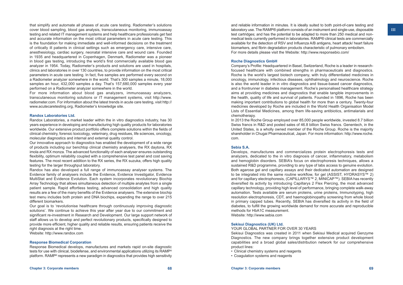that simplify and automate all phases of acute care testing. Radiometer's solutions cover blood sampling, blood gas analysis, transcutaneous monitoring, immunoassay testing and related IT management systems and help healthcare professionals get fast and accurate information on the most critical parameters in acute care testing. This is the foundation for making immediate and well-informed decisions on the treatment of critically ill patients in clinical settings such as emergency care, intensive care, anesthesiology, cardiac surgery, neonatal intensive care and wound care. Founded in 1935 and headquartered in Copenhagen, Denmark, Radiometer was a pioneer in blood gas testing, introducing the world's first commercially available blood gas analyzer in 1954. Today, Radiometer's products and solutions are used in hospitals, clinics and laboratories in over 130 countries, to provide information on the most critical parameters in acute care testing. In fact, five samples are performed every second on a Radiometer analyzer somewhere in the world. That's 300 samples a minute, 18,000 samples an hour, 432,000 samples a day. That's 157,680,000 samples every year performed on a Radiometer analyzer somewhere in the world.

For more information about blood gas analyzers, immunoassay analyzers, transcutaneous monitoring solutions or IT management systems, visit http:/[/www.](http://www.radiometer.com/) [radiometer.com](http://www.radiometer.com/). For information about the latest trends in acute care testing, visit http:// [www.acutecaretesting.org,](http://www.acutecaretesting.org/) Radiometer's knowledge site.

# **Randox Laboratories Ltd.**

Randox Laboratories, a market leader within the in vitro diagnostics industry, has 30 years experience in developing and manufacturing high quality products for laboratories worldwide. Our extensive product portfolio offers complete solutions within the fields of clinical chemistry, forensic toxicology, veterinary, drug residues, life sciences, oncology, molecular diagnostics and internal and external quality control.

Our innovative approach to diagnostics has enabled the development of a wide range of products including our benchtop clinical chemistry analysers, the RX daytona, RX imola and RX monza. The advanced functionality of each analyser ensures outstanding flexibility, optimum reliability coupled with a comprehensive test panel and cost saving features. The most recent addition to the RX series, the RX suzuka, offers high quality testing for the larger throughput laboratory.

Randox has also developed a full range of immunoassay analyser systems. The Evidence family of analysers include the Evidence, Evidence Investigator, Evidence MultiStat and Evidence Evolution. Each system incorporates revolutionary Biochip Array Technology that allows simultaneous detection of multiple analytes from a single patient sample. Rapid effortless testing, advanced consolidation and high quality results are a few of the many benefits of the Evidence analysers. The extensive biochip test menu includes both protein and DNA biochips, expanding the range to over 215 different biomarkers.

Our goal is to 'revolutionise healthcare through continuously improving diagnostic solutions'. We continue to achieve this year after year due to our commitment and significant re-investment in Research and Development. Our large support network of staff allows us to develop and perfect revolutionary products, specifically designed to provide more efficient, higher quality and reliable results, ensuring patients receive the right diagnosis at the right time.

Website: [http://www.randox.com](http://www.randox.com/)

#### **Response Biomedical Corporation**

Response Biomedical develops, manufactures and markets rapid on-site diagnostic tests for use with clinical, biodefense, and environmental applications utilizing its RAMP® platform. RAMP® represents a new paradigm in diagnostics that provides high sensitivity

and reliable information in minutes. It is ideally suited to both point-of-care testing and laboratory use. The RAMP® platform consists of an instrument and single-use, disposable test cartridges; and has the potential to be adapted to more than 250 medical and nonmedical tests currently performed in laboratories. RAMP® clinical tests are commercially available for the detection of RSV and Influenza A/B antigens, heart attack/ heart failure biomarkers, and fibrin degradation products characteristic of pulmonary embolism. For more details please visit the Website: <http://www.responsebio.com/>

#### **Roche Diagnostics GmbH**

Company's Profile: Headquartered in Basel, Switzerland, Roche is a leader in researchfocused healthcare with combined strengths in pharmaceuticals and diagnostics. Roche is the world's largest biotech company, with truly differentiated medicines in oncology, immunology, infectious diseases, ophthalmology and neuroscience. Roche is also the world leader in in vitro diagnostics and tissue-based cancer diagnostics, and a frontrunner in diabetes management. Roche's personalised healthcare strategy aims at providing medicines and diagnostics that enable tangible improvements in the health, quality of life and survival of patients. Founded in 1896, Roche has been making important contributions to global health for more than a century. Twenty-four medicines developed by Roche are included in the World Health Organisation Model Lists of Essential Medicines, among them life-saving antibiotics, antimalarials and chemotherapy.

In 2013 the Roche Group employed over 85,000 people worldwide, invested 8.7 billion Swiss francs in R&D and posted sales of 46.8 billion Swiss francs. Genentech, in the United States, is a wholly owned member of the Roche Group. Roche is the majority shareholder in Chugai Pharmaceutical, Japan. For more information: [http://www.roche.](http://www.roche.com/) [com.](http://www.roche.com/)

# **Sebia S.A.**

Develops, manufactures and commercializes protein electrophoresis tests and analyzers, dedicated to the in vitro diagnosis of cancer, inflammatory, metabolism and hemoglobin disorders. SEBIA's focus on electrophoresis techniques, allows a sustained R&D programme, providing to any type of labs access to genuine evolution. Both agarose gel and capillary assays and their dedicated automation are designed to be integrated into the same routine workflow, for gel (ASSIST, HYDRASYS™ 2) and for capillary electrophoresis, (CAPILLARYS™ 2, MINICAP™). SEBIA has recently diversified its activity by introducing Capillarys 2 Flex Piercing, the most advanced capillary technology, providing high level of performance, bringing complete walk-away automation. Tests available are serum proteins, urine proteins, Immunotyping, high resolution electrophoresis, CDT, and haemoglobinopathy screening from whole blood in primary capped tubes. Recently, SEBIA has diversified its activity in the field of diabetes, to fulfill the growing worldwide demand for more accurate and reproducible methods for HbA1C measurement.

Website: [http://www.sebia.com](http://www.sebia.com/)

# **Sekisui Diagnostics (UK) Ltd.**

YOUR GLOBAL PARTNER FOR OVER 30 YEARS

Sekisui Diagnostics was created in 2011 when Sekisui Medical acquired Genzyme Diagnostics. The new company brings together extensive product development capabilities and a broad global sales/distribution network for our comprehensive product lines:

- Clinical chemistry systems and reagents
- Coagulation systems and reagents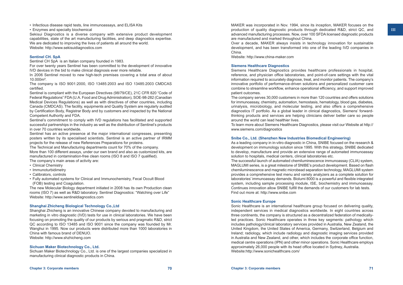• Infectious disease rapid tests, line immunoassays, and ELISA Kits

• Enzymes and specialty biochemical

Sekisui Diagnostics is a diverse company with extensive product development capabilities, state of the art manufacturing facilities, and deep diagnostics expertise. We are dedicated to improving the lives of patients all around the world. Website: [http://www.sekisuidiagnostics.com](http://www.sekisuidiagnostics.com/)

# **Sentinel CH. SpA**

Sentinel CH SpA is an Italian company founded in 1983.

For over twenty years Sentinel has been committed to the development of innovative IVD devices in the bid to make clinical diagnosis ever more reliable.

In 2006 Sentinel moved to new high-tech premises covering a total area of about 10.000m².

The company is ISO 9001:2000, ISO 13485:2003 and ISO 13485:2003 CMDCAS certified.

Sentinel is compliant with the European Directives (98/79/CE), 21C CFR 820 "Code of Federal Regulations" FDA (U.A. Food and Drug Administration), SOE-98-282 (Canadian Medical Devices Regulations) as well as with directives of other countries, including Canada (CMDCAS). The facility, equipments and Quality System are regularly audited by Certification Body, Registrar Body and by customers and inspected by the National Competent Authority and FDA.

Sentinel's commitment to comply with IVD regulations has facilitated and supported successful partnerships in the industry as well as the distribution of Sentinel's products in over 70 countries worldwide.

Sentinel has an active presence at the major international congresses, presenting posters written by its specialised scientists. Sentinel is an active partner of IRMM projects for the release of new References Preparations for proteins.

The Technical and Manufacturing departments count for 70% of the company. More than 100 different assays, under our own brand and also as customized kits, are manufactured in contamination-free clean rooms (ISO 8 and ISO 7 qualified).

The company's main areas of activity are:

- Clinical Chemistry
- Immunoturbidimetry
- Calibrators, controls
- Fully automated systems for Clinical and Immunochemistry, Fecal Occult Blood (FOB) testing and Coagulation.

The new Molecular Biology department initiated in 2008 has its own Production clean rooms (ISO 7) as well as R&D laboratory. Sentinel Diagnostics: "Watching over Life" Website: [http://www.sentineldiagnostics.com](http://www.sentineldiagnostics.com/)

# **Shanghai Zhicheng Biological Technology Co.,Ltd**

Shanghai Zhicheng is an innovative Chinese company devoted to manufacturing and marketing in vitro diagnostic (IVD) tests for use in clinical laboratories. We have been focusing on promoting the quality of our products by serious and pragmatic R&D, strict QC according to ISO 13485 and ISO 9001 since the company was founded by Mr. Wanghui in 1995. Now our products were distributed more than 1000 laboratories in China with famous brand of DENUO. Website: [http://www.shzhicheng.com](http://www.shzhicheng.com/)

# **Sichuan Maker Biotechnology Co., Ltd.**

Sichuan Maker Biotechnology Co., Ltd. is one of the largest companies specialized in manufacturing clinical diagnostic products in China.

MAKER was incorporated in Nov. 1994, since its inception, MAKER focuses on the production of quality diagnostic products through dedicated R&D, strict QC, and advanced manufacturing processes. Now, over 100 SFDA licensed diagnostic products are manufactured and marked throughout China.

Over a decade, MAKER always insists in technology innovation for sustainable development, and has been transformed into one of the leading IVD companies in China.

Website: [http://www.china-maker.com](http://www.china-maker.com/)

# **Siemens Healthcare Diagnostics**

Siemens Healthcare Diagnostics provides healthcare professionals in hospital, reference, and physician office laboratories, and point-of-care settings with the vital information required to accurately diagnose, treat, and monitor patients. The company's innovative portfolio of performance-driven solutions and personalized customer care combine to streamline workflow, enhance operational efficiency, and support improved patient outcomes.

The company serves 30,000 customers in more than 120 countries and offers solutions for immunoassay, chemistry, automation, hemostasis, hematology, blood gas, diabetes, urinalysis, microbiology, and molecular testing, and also offers a comprehensive diagnostics IT portfolio. As a global leader in clinical diagnostics, Siemens' forwardthinking products and services are helping clinicians deliver better care so people around the world can lead healthier lives.

To learn more about Siemens Healthcare Diagnostics, please visit our Website at http:// [www.siemens.com/diagnostics](http://www.siemens.com/diagnostics)

# **Snibe Co., Ltd. (Shenzhen New Industries Biomedical Engineering)**

As a leading company in in-vitro diagnostic in China, SNIBE focused on the research & development on immunology solution since 1995. With this strategy, SNIBE dedicated to develop, manufacture and provide an extensive range of automated immunoassay solution to hospitals, medical centers, clinical laboratories etc.

The successful launch of automated chemiluminescence immunoassay (CLIA) system, MAGLUMI series, is a great milestone of SNIBE's product development. Based on flash chemiluminescence and magnetic microbead separation technology, MAGLUMI system provides a comprehensive test menu and variety analyzers as a complete solution for laboratories' immunoassay demands. Biolumi 8000 is a powerful and flexible integrated system, including sample processing module, ISE, biochemistry and immunoassay. Continues innovation allow SNIBE fulfill the demands of our customers for lab tests. Find out more at:<http://www.snibe.com>

# **Sonic Healthcare Europe**

Sonic Healthcare is an international healthcare group focused on delivering quality, independent services in medical diagnostics worldwide. In eight countries across three continents, the company is structured as a decentralized federation of medicallyled practices. Sonic Healthcare operates in three key segments: pathology which includes pathology/clinical laboratory services provided in Australia, New Zealand, the United Kingdom, the United States of America, Germany, Switzerland, Belgium and Ireland; radiology, which include radiology and diagnostic imaging services provided in Australia and New Zealand, and other, which includes the corporate office function, medical centre operations (IPN) and other minor operations. Sonic Healthcare employs approximately 26,000 people with its head office located in Sydney, Australia. Website:<http://www.sonichealthcare.com/>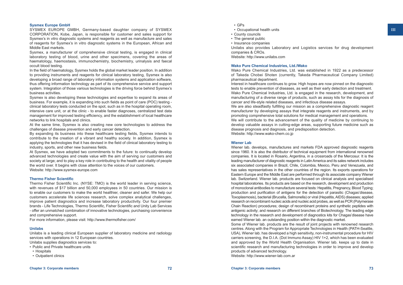# **Sysmex Europe GmbH**

SYSMEX EUROPE GMBH, Germany-based daughter company of SYSMEX CORPORATION, Kobe, Japan, is responsible for customer and sales support for Sysmex's in vitro diagnostic systems and reagents as well as manufacture and sales of reagents for Sysmex's in vitro diagnostic systems in the European, African and Middle East markets.

Sysmex, a manufacturer of comprehensive clinical testing, is engaged in clinical laboratory testing of blood, urine and other specimens, covering the areas of haematology, haemostasis, immunochemistry, biochemistry, urinalysis and faecal occult blood testing.

In the field of haematology, Sysmex holds the global market leader position. In addition to providing instruments and reagents for clinical laboratory testing, Sysmex is also developing a broad range of laboratory information systems and application software, thus offering information technology as part of its comprehensive service and support system. Integration of those various technologies is the driving force behind Sysmex's business activities.

Sysmex is also developing these technologies and expertise to expand its areas of business. For example, it is expanding into such fields as point of care (POC) testing clinical laboratory tests conducted on the spot, such as in the hospital operating room, intensive care unit, or at the clinic - to enable faster diagnoses, centralized test data management for improved testing efficiency, and the establishment of local healthcare networks to link hospitals and clinics.

At the same time, Sysmex is also creating new core technologies to address the challenges of disease prevention and early cancer detection.

By expanding its business into these healthcare testing fields, Sysmex intends to contribute to the creation of a vibrant and healthy society. In addition, Sysmex is applying the technologies that it has devised in the field of clinical laboratory testing to industry, sports, and other new business fields.

At Sysmex, we have adopted two commitments to the future: to continually develop advanced technologies and create value with the aim of serving our customers and society at large; and to play a key role in contributing to the health and vitality of people the world over. It begins with close attention to the voices of our customers. Website: [http://www.sysmex-europe.com](http://www.sysmex-europe.com/)

# **Thermo Fisher Scientific**

Thermo Fisher Scientific Inc. (NYSE: TMO) is the world leader in serving science, with revenues of \$17 billion and 50,000 employees in 50 countries. Our mission is to enable our customers to make the world healthier, cleaner and safer. We help our customers accelerate life sciences research, solve complex analytical challenges, improve patient diagnostics and increase laboratory productivity. Our four premier brands - Life Technologies, Thermo Scientific, Fisher Scientific and Unity Lab Services - offer an unmatched combination of innovative technologies, purchasing convenience and comprehensive support.

For more information, please visit: <http://www.thermofisher.com/>

### **Unilabs**

Unilabs is a leading clinical European supplier of laboratory medicine and radiology services with operations in 12 European countries. Unilabs supplies diagnostics services to:

- Public and Private healthcare units
- Hospitals
- Outpatient clinics
- Occupational health units
- County councils
- The general public
- Insurance companies

Unilabs also provides Laboratory and Logistics services for drug development companies & CROs.

Website: [http://www.unilabs.com](http://www.unilabs.com/)

# **Wako Pure Chemical Industries, Ltd./Wako**

Wako Pure Chemical Industries, Ltd. was established in 1922 as a predecessor of Takeda Chobei Shoten (currently, Takeda Pharmaceutical Company Limited) pharmaceutical department.

Interest in healthcare continues to grow. High hopes are now pinned on the diagnostic tests to enable prevention of diseases, as well as their early detection and treatment. Wako Pure Chemical Industries, Ltd. is engaged in the research, development, and manufacturing of a diverse range of products, such as assay kits for the diagnosis of cancer and life-style related diseases, and infectious disease assays.

We are also steadfastly fulfilling our mission as a comprehensive diagnostic reagent manufacturer by developing assays that integrate reagents and instruments, and by promoting comprehensive total solutions for medical management and operations. We will contribute to the advancement of the quality of medicine by continuing to develop valuable assays in cutting-edge areas, supporting future medicine such as disease prognosis and diagnosis, and predisposition detection. Website: [http://www.wako-chem.co.jp](http://www.wako-chem.co.jp/)

# **Wiener Lab**

Wiener lab. develops, manufactures and markets FDA approved diagnostic reagents since 1960. It is also the distributor of technical equipment from international renowned companies. It is located in Rosario, Argentina, in a crossroads of the Mercosur. It is the leading manufacturer of diagnostic reagents in Latin America and its sales network includes six associated companies in Brazil, Chile, Colombia, Mexico, Peru and Venezuela, and has sales representatives in the other countries of the region. Its exports operations for Eastern Europe and the Middle East are performed through its associate company Wiener lab. Switzerland. Wiener lab. products are focused on clinical analysis and specialised hospital laboratories. Its products are based on the research, development and production of monoclonal antibodies to manufacture several tests: Hepatitis, Pregnancy, Blood Typing; production and purification of antigens for the detection of parasitic (Chagas'disease, Toxoplasmosis), bacterial (Brucella, Salmonella) or viral (Hepatitis, AIDS) diseases; applied research on recombinant nucleic acids and nucleic acid probes, as well as PCR (Polymerase Chain Reaction) procedures; design of recombinant proteins and synthetic peptides with antigenic activity; and research on different branches of Biotechnology. The leading edge technology in the research and development of diagnostics kits for Chagas'disease have earned Wiener lab. an outstanding position within the diagnostic market.

Some of Wiener lab. products are the result of joint projects with renowned research centres. Along with the Program for Appropriate Technologies in Health (PATH-Seattle, USA), Wiener lab. has developed a high sensitivity, non-instrumental procedure for HIV carriers screening, the D.I.A. (Dot Immuno Assay) HIV 1+2, which has been evaluated and approved by the World Health Organisation. Wiener lab. keeps up to date in scientific research and manufacturing technologies in order to improve and develop products of advanced technology.

Website: [http://www.wiener-lab.com.ar](http://www.wiener-lab.com.ar/)